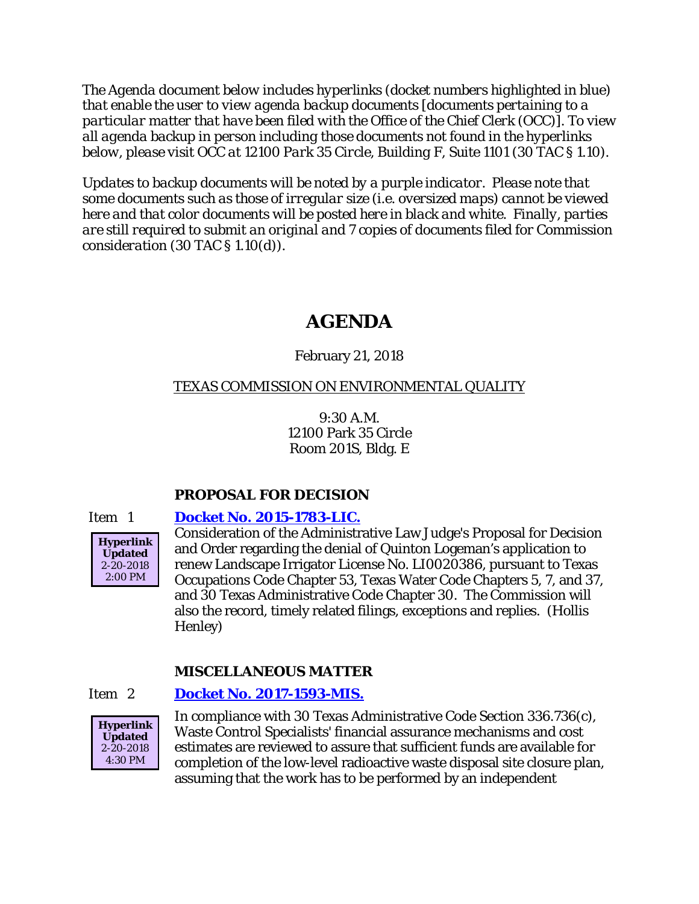*The Agenda document below includes hyperlinks (docket numbers highlighted in blue) that enable the user to view agenda backup documents [documents pertaining to a particular matter that have been filed with the Office of the Chief Clerk (OCC)]. To view all agenda backup in person including those documents not found in the hyperlinks below, please visit OCC at 12100 Park 35 Circle, Building F, Suite 1101 (30 TAC § 1.10).*

*Updates to backup documents will be noted by a purple indicator. Please note that some documents such as those of irregular size (i.e. oversized maps) cannot be viewed here and that color documents will be posted here in black and white. Finally, parties are still required to submit an original and 7 copies of documents filed for Commission consideration (30 TAC § 1.10(d)).*

# **AGENDA**

## February 21, 2018

## TEXAS COMMISSION ON ENVIRONMENTAL QUALITY

9:30 A.M. 12100 Park 35 Circle Room 201S, Bldg. E

## **PROPOSAL FOR DECISION**

## Item 1 **[Docket No. 2015-1783-LIC.](http://www.tceq.texas.gov/assets/public/comm_exec/agendas/comm/backup/Agendas/2018/02-21-2018/logeman.pdf)**



Consideration of the Administrative Law Judge's Proposal for Decision and Order regarding the denial of Quinton Logeman's application to renew Landscape Irrigator License No. LI0020386, pursuant to Texas Occupations Code Chapter 53, Texas Water Code Chapters 5, 7, and 37, and 30 Texas Administrative Code Chapter 30. The Commission will also the record, timely related filings, exceptions and replies. (Hollis Henley)

## **MISCELLANEOUS MATTER**

## Item 2 **[Docket No. 2017-1593-MIS.](http://www.tceq.texas.gov/assets/public/comm_exec/agendas/comm/backup/Agendas/2018/02-21-2018/1593MIS.pdf)**



In compliance with 30 Texas Administrative Code Section 336.736(c), Waste Control Specialists' financial assurance mechanisms and cost estimates are reviewed to assure that sufficient funds are available for completion of the low-level radioactive waste disposal site closure plan, assuming that the work has to be performed by an independent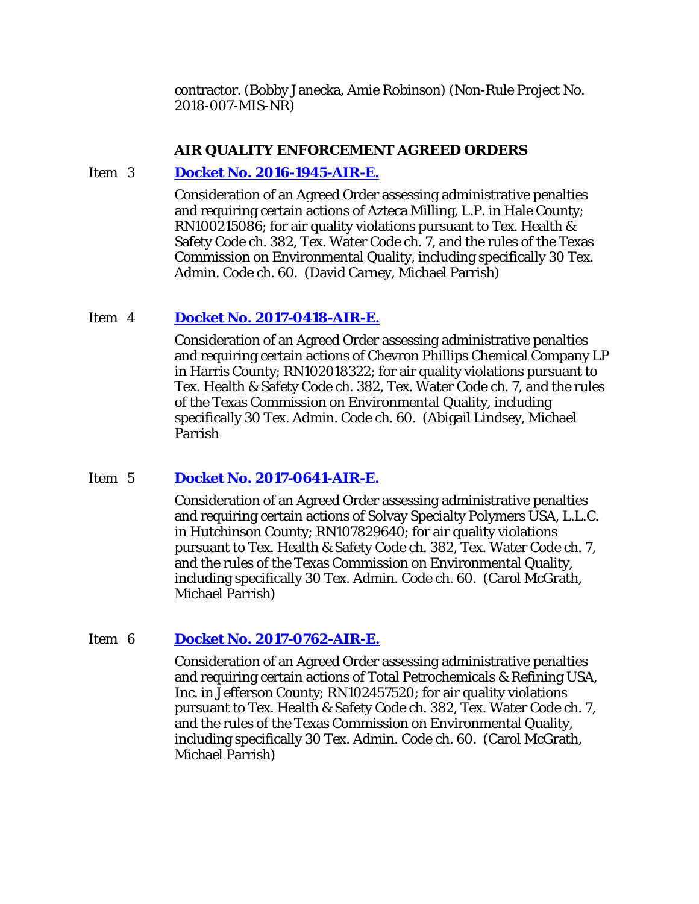contractor. (Bobby Janecka, Amie Robinson) (Non-Rule Project No. 2018-007-MIS-NR)

#### **AIR QUALITY ENFORCEMENT AGREED ORDERS**

#### Item 3 **[Docket No. 2016-1945-AIR-E.](http://www.tceq.texas.gov/assets/public/comm_exec/agendas/comm/backup/Agendas/2018/02-21-2018/1945AIR.pdf)**

Consideration of an Agreed Order assessing administrative penalties and requiring certain actions of Azteca Milling, L.P. in Hale County; RN100215086; for air quality violations pursuant to Tex. Health & Safety Code ch. 382, Tex. Water Code ch. 7, and the rules of the Texas Commission on Environmental Quality, including specifically 30 Tex. Admin. Code ch. 60. (David Carney, Michael Parrish)

#### Item 4 **[Docket No. 2017-0418-AIR-E.](http://www.tceq.texas.gov/assets/public/comm_exec/agendas/comm/backup/Agendas/2018/02-21-2018/0418AIR.pdf)**

Consideration of an Agreed Order assessing administrative penalties and requiring certain actions of Chevron Phillips Chemical Company LP in Harris County; RN102018322; for air quality violations pursuant to Tex. Health & Safety Code ch. 382, Tex. Water Code ch. 7, and the rules of the Texas Commission on Environmental Quality, including specifically 30 Tex. Admin. Code ch. 60. (Abigail Lindsey, Michael Parrish

## Item 5 **[Docket No. 2017-0641-AIR-E.](http://www.tceq.texas.gov/assets/public/comm_exec/agendas/comm/backup/Agendas/2018/02-21-2018/0641AIR.pdf)**

Consideration of an Agreed Order assessing administrative penalties and requiring certain actions of Solvay Specialty Polymers USA, L.L.C. in Hutchinson County; RN107829640; for air quality violations pursuant to Tex. Health & Safety Code ch. 382, Tex. Water Code ch. 7, and the rules of the Texas Commission on Environmental Quality, including specifically 30 Tex. Admin. Code ch. 60. (Carol McGrath, Michael Parrish)

## Item 6 **[Docket No. 2017-0762-AIR-E.](http://www.tceq.texas.gov/assets/public/comm_exec/agendas/comm/backup/Agendas/2018/02-21-2018/0762AIR.pdf)**

Consideration of an Agreed Order assessing administrative penalties and requiring certain actions of Total Petrochemicals & Refining USA, Inc. in Jefferson County; RN102457520; for air quality violations pursuant to Tex. Health & Safety Code ch. 382, Tex. Water Code ch. 7, and the rules of the Texas Commission on Environmental Quality, including specifically 30 Tex. Admin. Code ch. 60. (Carol McGrath, Michael Parrish)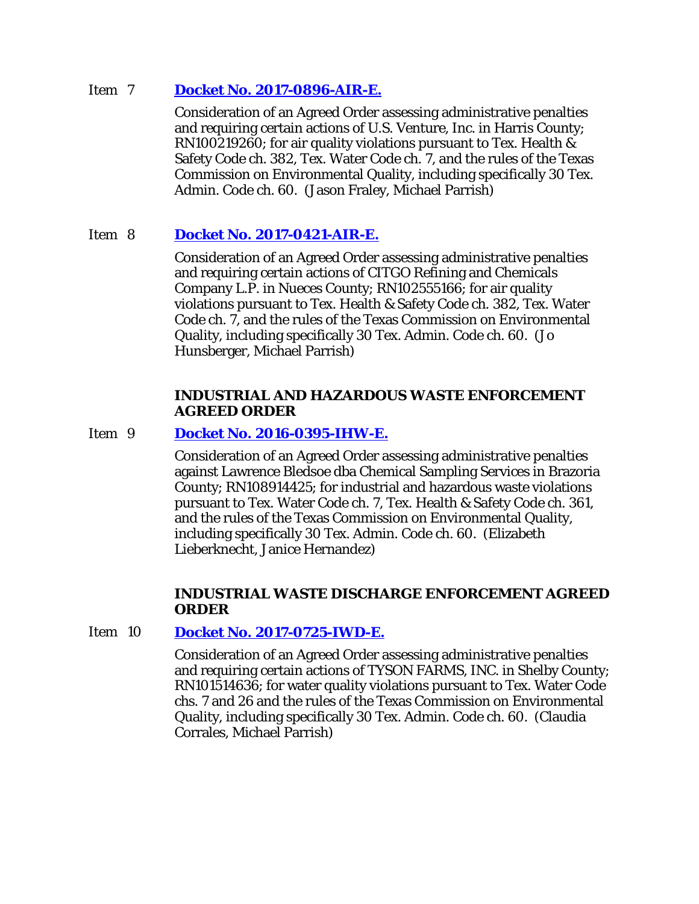#### Item 7 **[Docket No. 2017-0896-AIR-E.](http://www.tceq.texas.gov/assets/public/comm_exec/agendas/comm/backup/Agendas/2018/02-21-2018/0896AIR.pdf)**

Consideration of an Agreed Order assessing administrative penalties and requiring certain actions of U.S. Venture, Inc. in Harris County; RN100219260; for air quality violations pursuant to Tex. Health & Safety Code ch. 382, Tex. Water Code ch. 7, and the rules of the Texas Commission on Environmental Quality, including specifically 30 Tex. Admin. Code ch. 60. (Jason Fraley, Michael Parrish)

## Item 8 **[Docket No. 2017-0421-AIR-E.](http://www.tceq.texas.gov/assets/public/comm_exec/agendas/comm/backup/Agendas/2018/02-21-2018/0421AIR.pdf)**

Consideration of an Agreed Order assessing administrative penalties and requiring certain actions of CITGO Refining and Chemicals Company L.P. in Nueces County; RN102555166; for air quality violations pursuant to Tex. Health & Safety Code ch. 382, Tex. Water Code ch. 7, and the rules of the Texas Commission on Environmental Quality, including specifically 30 Tex. Admin. Code ch. 60. (Jo Hunsberger, Michael Parrish)

#### **INDUSTRIAL AND HAZARDOUS WASTE ENFORCEMENT AGREED ORDER**

#### Item 9 **[Docket No. 2016-0395-IHW-E.](http://www.tceq.texas.gov/assets/public/comm_exec/agendas/comm/backup/Agendas/2018/02-21-2018/0395IHW.pdf)**

Consideration of an Agreed Order assessing administrative penalties against Lawrence Bledsoe dba Chemical Sampling Services in Brazoria County; RN108914425; for industrial and hazardous waste violations pursuant to Tex. Water Code ch. 7, Tex. Health & Safety Code ch. 361, and the rules of the Texas Commission on Environmental Quality, including specifically 30 Tex. Admin. Code ch. 60. (Elizabeth Lieberknecht, Janice Hernandez)

## **INDUSTRIAL WASTE DISCHARGE ENFORCEMENT AGREED ORDER**

#### Item 10 **[Docket No. 2017-0725-IWD-E.](http://www.tceq.texas.gov/assets/public/comm_exec/agendas/comm/backup/Agendas/2018/02-21-2018/0725IWD.pdf)**

Consideration of an Agreed Order assessing administrative penalties and requiring certain actions of TYSON FARMS, INC. in Shelby County; RN101514636; for water quality violations pursuant to Tex. Water Code chs. 7 and 26 and the rules of the Texas Commission on Environmental Quality, including specifically 30 Tex. Admin. Code ch. 60. (Claudia Corrales, Michael Parrish)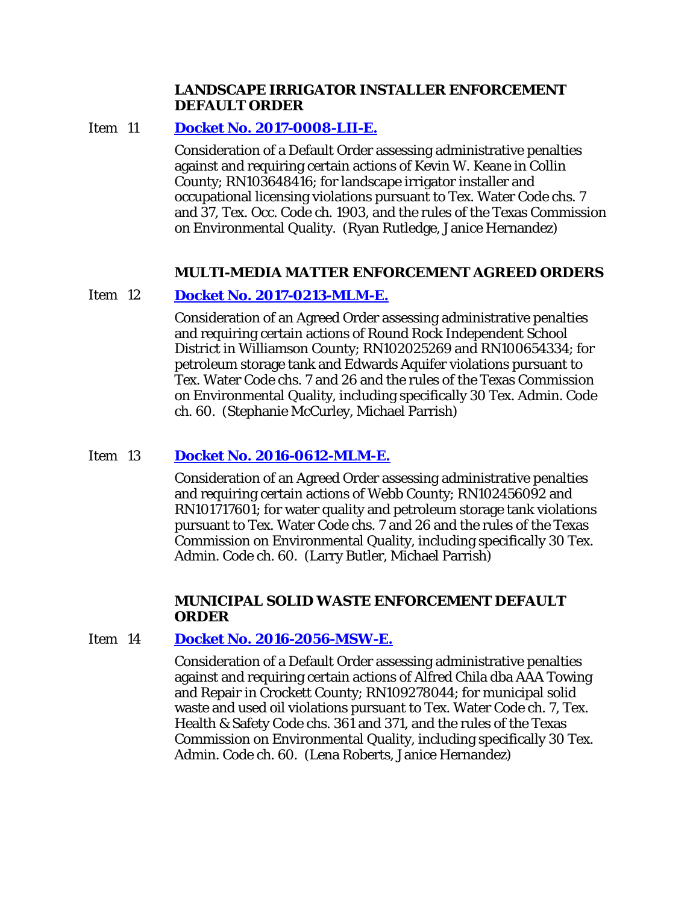#### **LANDSCAPE IRRIGATOR INSTALLER ENFORCEMENT DEFAULT ORDER**

#### Item 11 **[Docket No. 2017-0008-LII-E.](http://www.tceq.texas.gov/assets/public/comm_exec/agendas/comm/backup/Agendas/2018/02-21-2018/0008LII.pdf)**

Consideration of a Default Order assessing administrative penalties against and requiring certain actions of Kevin W. Keane in Collin County; RN103648416; for landscape irrigator installer and occupational licensing violations pursuant to Tex. Water Code chs. 7 and 37, Tex. Occ. Code ch. 1903, and the rules of the Texas Commission on Environmental Quality. (Ryan Rutledge, Janice Hernandez)

#### **MULTI-MEDIA MATTER ENFORCEMENT AGREED ORDERS**

#### Item 12 **[Docket No. 2017-0213-MLM-E.](http://www.tceq.texas.gov/assets/public/comm_exec/agendas/comm/backup/Agendas/2018/02-21-2018/0213MLM.pdf)**

Consideration of an Agreed Order assessing administrative penalties and requiring certain actions of Round Rock Independent School District in Williamson County; RN102025269 and RN100654334; for petroleum storage tank and Edwards Aquifer violations pursuant to Tex. Water Code chs. 7 and 26 and the rules of the Texas Commission on Environmental Quality, including specifically 30 Tex. Admin. Code ch. 60. (Stephanie McCurley, Michael Parrish)

## Item 13 **[Docket No. 2016-0612-MLM-E.](http://www.tceq.texas.gov/assets/public/comm_exec/agendas/comm/backup/Agendas/2018/02-21-2018/0612MLM.pdf)**

Consideration of an Agreed Order assessing administrative penalties and requiring certain actions of Webb County; RN102456092 and RN101717601; for water quality and petroleum storage tank violations pursuant to Tex. Water Code chs. 7 and 26 and the rules of the Texas Commission on Environmental Quality, including specifically 30 Tex. Admin. Code ch. 60. (Larry Butler, Michael Parrish)

#### **MUNICIPAL SOLID WASTE ENFORCEMENT DEFAULT ORDER**

## Item 14 **[Docket No. 2016-2056-MSW-E.](http://www.tceq.texas.gov/assets/public/comm_exec/agendas/comm/backup/Agendas/2018/02-21-2018/2056MSW.pdf)**

Consideration of a Default Order assessing administrative penalties against and requiring certain actions of Alfred Chila dba AAA Towing and Repair in Crockett County; RN109278044; for municipal solid waste and used oil violations pursuant to Tex. Water Code ch. 7, Tex. Health & Safety Code chs. 361 and 371, and the rules of the Texas Commission on Environmental Quality, including specifically 30 Tex. Admin. Code ch. 60. (Lena Roberts, Janice Hernandez)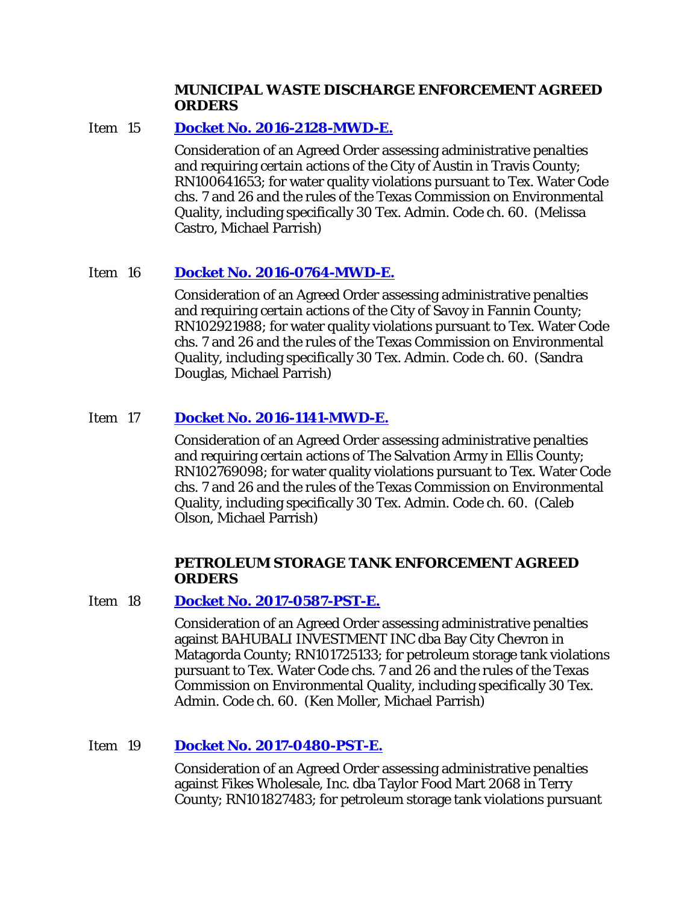#### **MUNICIPAL WASTE DISCHARGE ENFORCEMENT AGREED ORDERS**

## Item 15 **[Docket No. 2016-2128-MWD-E.](http://www.tceq.texas.gov/assets/public/comm_exec/agendas/comm/backup/Agendas/2018/02-21-2018/2128MWD.pdf)**

Consideration of an Agreed Order assessing administrative penalties and requiring certain actions of the City of Austin in Travis County; RN100641653; for water quality violations pursuant to Tex. Water Code chs. 7 and 26 and the rules of the Texas Commission on Environmental Quality, including specifically 30 Tex. Admin. Code ch. 60. (Melissa Castro, Michael Parrish)

## Item 16 **[Docket No. 2016-0764-MWD-E.](http://www.tceq.texas.gov/assets/public/comm_exec/agendas/comm/backup/Agendas/2018/02-21-2018/0764MWD.pdf)**

Consideration of an Agreed Order assessing administrative penalties and requiring certain actions of the City of Savoy in Fannin County; RN102921988; for water quality violations pursuant to Tex. Water Code chs. 7 and 26 and the rules of the Texas Commission on Environmental Quality, including specifically 30 Tex. Admin. Code ch. 60. (Sandra Douglas, Michael Parrish)

## Item 17 **Docket [No. 2016-1141-MWD-E.](http://www.tceq.texas.gov/assets/public/comm_exec/agendas/comm/backup/Agendas/2018/02-21-2018/1141MWD.pdf)**

Consideration of an Agreed Order assessing administrative penalties and requiring certain actions of The Salvation Army in Ellis County; RN102769098; for water quality violations pursuant to Tex. Water Code chs. 7 and 26 and the rules of the Texas Commission on Environmental Quality, including specifically 30 Tex. Admin. Code ch. 60. (Caleb Olson, Michael Parrish)

#### **PETROLEUM STORAGE TANK ENFORCEMENT AGREED ORDERS**

#### Item 18 **[Docket No. 2017-0587-PST-E.](http://www.tceq.texas.gov/assets/public/comm_exec/agendas/comm/backup/Agendas/2018/02-21-2018/0587PST.pdf)**

Consideration of an Agreed Order assessing administrative penalties against BAHUBALI INVESTMENT INC dba Bay City Chevron in Matagorda County; RN101725133; for petroleum storage tank violations pursuant to Tex. Water Code chs. 7 and 26 and the rules of the Texas Commission on Environmental Quality, including specifically 30 Tex. Admin. Code ch. 60. (Ken Moller, Michael Parrish)

## Item 19 **[Docket No. 2017-0480-PST-E.](http://www.tceq.texas.gov/assets/public/comm_exec/agendas/comm/backup/Agendas/2018/02-21-2018/0480PST.pdf)**

Consideration of an Agreed Order assessing administrative penalties against Fikes Wholesale, Inc. dba Taylor Food Mart 2068 in Terry County; RN101827483; for petroleum storage tank violations pursuant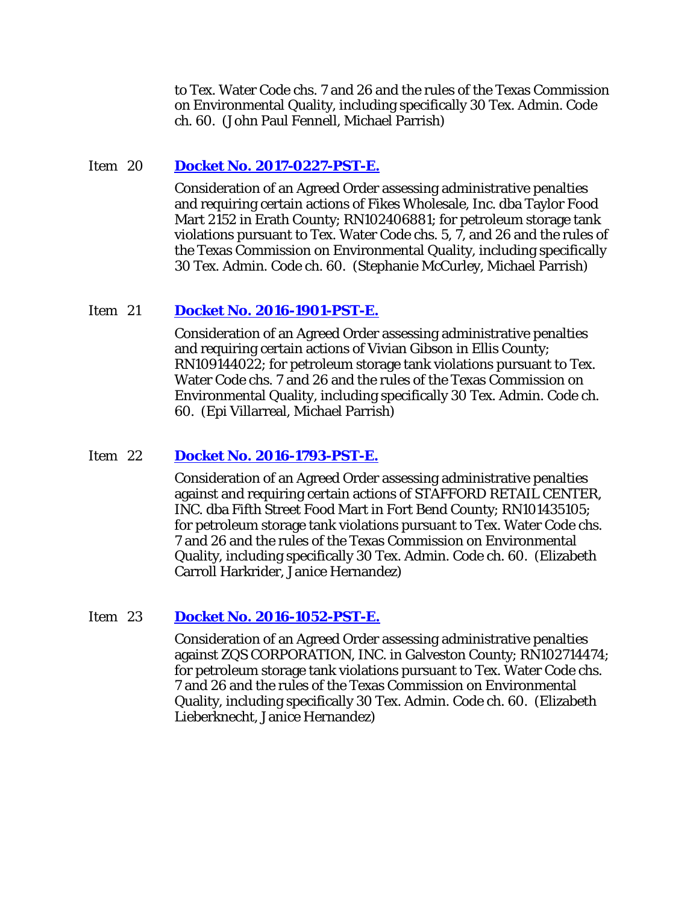to Tex. Water Code chs. 7 and 26 and the rules of the Texas Commission on Environmental Quality, including specifically 30 Tex. Admin. Code ch. 60. (John Paul Fennell, Michael Parrish)

#### Item 20 **[Docket No. 2017-0227-PST-E.](http://www.tceq.texas.gov/assets/public/comm_exec/agendas/comm/backup/Agendas/2018/02-21-2018/0227PST.pdf)**

Consideration of an Agreed Order assessing administrative penalties and requiring certain actions of Fikes Wholesale, Inc. dba Taylor Food Mart 2152 in Erath County; RN102406881; for petroleum storage tank violations pursuant to Tex. Water Code chs. 5, 7, and 26 and the rules of the Texas Commission on Environmental Quality, including specifically 30 Tex. Admin. Code ch. 60. (Stephanie McCurley, Michael Parrish)

#### Item 21 **[Docket No. 2016-1901-PST-E.](http://www.tceq.texas.gov/assets/public/comm_exec/agendas/comm/backup/Agendas/2018/02-21-2018/1901PST.pdf)**

Consideration of an Agreed Order assessing administrative penalties and requiring certain actions of Vivian Gibson in Ellis County; RN109144022; for petroleum storage tank violations pursuant to Tex. Water Code chs. 7 and 26 and the rules of the Texas Commission on Environmental Quality, including specifically 30 Tex. Admin. Code ch. 60. (Epi Villarreal, Michael Parrish)

#### Item 22 **[Docket No. 2016-1793-PST-E.](http://www.tceq.texas.gov/assets/public/comm_exec/agendas/comm/backup/Agendas/2018/02-21-2018/1793PST.pdf)**

Consideration of an Agreed Order assessing administrative penalties against and requiring certain actions of STAFFORD RETAIL CENTER, INC. dba Fifth Street Food Mart in Fort Bend County; RN101435105; for petroleum storage tank violations pursuant to Tex. Water Code chs. 7 and 26 and the rules of the Texas Commission on Environmental Quality, including specifically 30 Tex. Admin. Code ch. 60. (Elizabeth Carroll Harkrider, Janice Hernandez)

#### Item 23 **[Docket No. 2016-1052-PST-E.](http://www.tceq.texas.gov/assets/public/comm_exec/agendas/comm/backup/Agendas/2018/02-21-2018/1052PST.pdf)**

Consideration of an Agreed Order assessing administrative penalties against ZQS CORPORATION, INC. in Galveston County; RN102714474; for petroleum storage tank violations pursuant to Tex. Water Code chs. 7 and 26 and the rules of the Texas Commission on Environmental Quality, including specifically 30 Tex. Admin. Code ch. 60. (Elizabeth Lieberknecht, Janice Hernandez)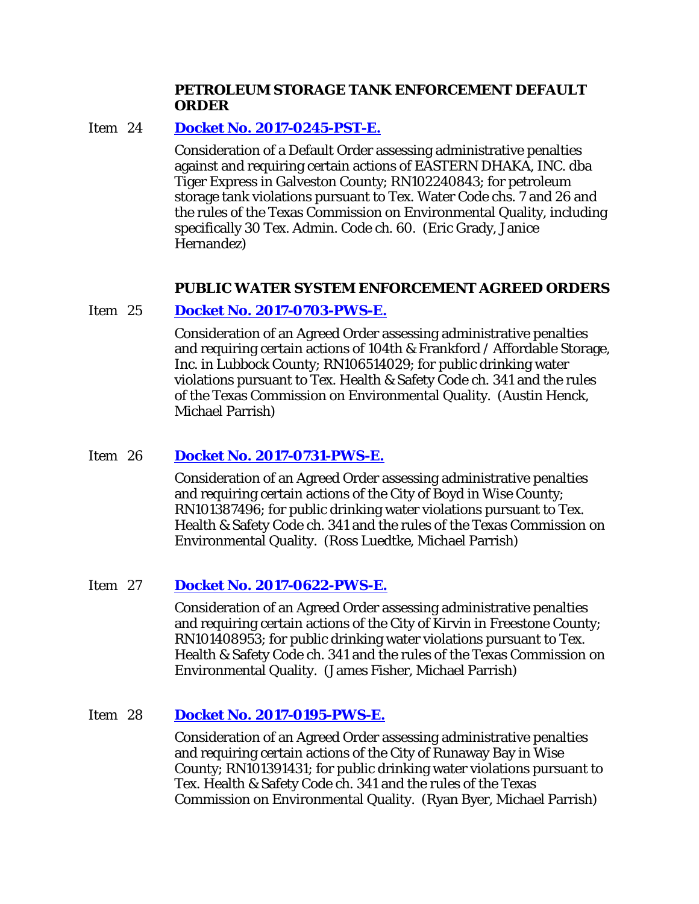#### **PETROLEUM STORAGE TANK ENFORCEMENT DEFAULT ORDER**

#### Item 24 **[Docket No. 2017-0245-PST-E.](http://www.tceq.texas.gov/assets/public/comm_exec/agendas/comm/backup/Agendas/2018/02-21-2018/0245PST.pdf)**

Consideration of a Default Order assessing administrative penalties against and requiring certain actions of EASTERN DHAKA, INC. dba Tiger Express in Galveston County; RN102240843; for petroleum storage tank violations pursuant to Tex. Water Code chs. 7 and 26 and the rules of the Texas Commission on Environmental Quality, including specifically 30 Tex. Admin. Code ch. 60. (Eric Grady, Janice Hernandez)

## **PUBLIC WATER SYSTEM ENFORCEMENT AGREED ORDERS**

#### Item 25 **[Docket No. 2017-0703-PWS-E.](http://www.tceq.texas.gov/assets/public/comm_exec/agendas/comm/backup/Agendas/2018/02-21-2018/0703PWS.pdf)**

Consideration of an Agreed Order assessing administrative penalties and requiring certain actions of 104th & Frankford / Affordable Storage, Inc. in Lubbock County; RN106514029; for public drinking water violations pursuant to Tex. Health & Safety Code ch. 341 and the rules of the Texas Commission on Environmental Quality. (Austin Henck, Michael Parrish)

## Item 26 **[Docket No. 2017-0731-PWS-E.](http://www.tceq.texas.gov/assets/public/comm_exec/agendas/comm/backup/Agendas/2018/02-21-2018/0731PWS.pdf)**

Consideration of an Agreed Order assessing administrative penalties and requiring certain actions of the City of Boyd in Wise County; RN101387496; for public drinking water violations pursuant to Tex. Health & Safety Code ch. 341 and the rules of the Texas Commission on Environmental Quality. (Ross Luedtke, Michael Parrish)

## Item 27 **[Docket No. 2017-0622-PWS-E.](http://www.tceq.texas.gov/assets/public/comm_exec/agendas/comm/backup/Agendas/2018/02-21-2018/0622PWS.pdf)**

Consideration of an Agreed Order assessing administrative penalties and requiring certain actions of the City of Kirvin in Freestone County; RN101408953; for public drinking water violations pursuant to Tex. Health & Safety Code ch. 341 and the rules of the Texas Commission on Environmental Quality. (James Fisher, Michael Parrish)

## Item 28 **[Docket No. 2017-0195-PWS-E.](http://www.tceq.texas.gov/assets/public/comm_exec/agendas/comm/backup/Agendas/2018/02-21-2018/0195PWS.pdf)**

Consideration of an Agreed Order assessing administrative penalties and requiring certain actions of the City of Runaway Bay in Wise County; RN101391431; for public drinking water violations pursuant to Tex. Health & Safety Code ch. 341 and the rules of the Texas Commission on Environmental Quality. (Ryan Byer, Michael Parrish)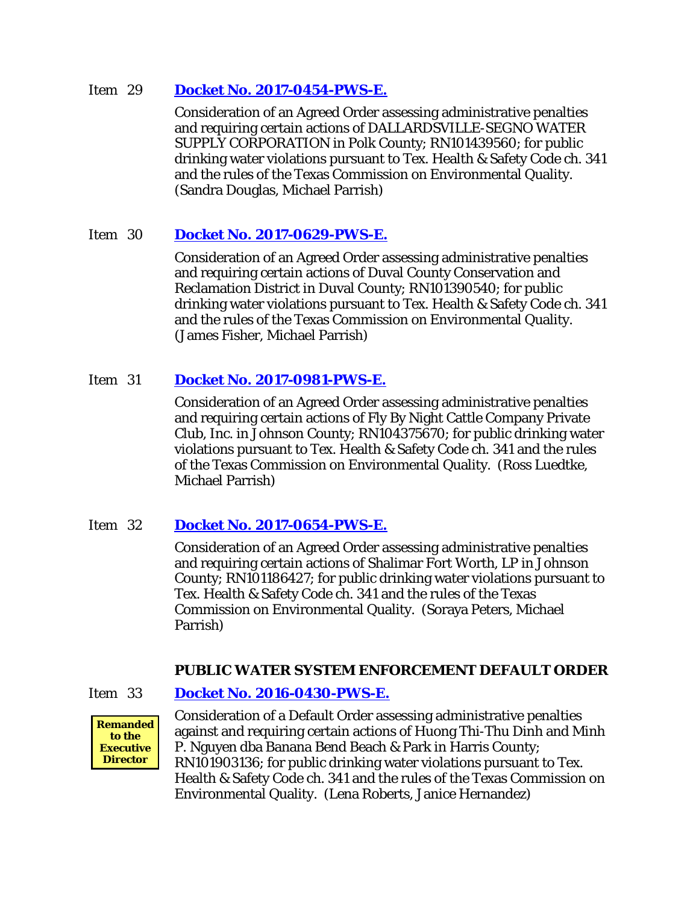#### Item 29 **[Docket No. 2017-0454-PWS-E.](http://www.tceq.texas.gov/assets/public/comm_exec/agendas/comm/backup/Agendas/2018/02-21-2018/0454PWS.pdf)**

Consideration of an Agreed Order assessing administrative penalties and requiring certain actions of DALLARDSVILLE-SEGNO WATER SUPPLY CORPORATION in Polk County; RN101439560; for public drinking water violations pursuant to Tex. Health & Safety Code ch. 341 and the rules of the Texas Commission on Environmental Quality. (Sandra Douglas, Michael Parrish)

## Item 30 **[Docket No. 2017-0629-PWS-E.](http://www.tceq.texas.gov/assets/public/comm_exec/agendas/comm/backup/Agendas/2018/02-21-2018/0629PWS.pdf)**

Consideration of an Agreed Order assessing administrative penalties and requiring certain actions of Duval County Conservation and Reclamation District in Duval County; RN101390540; for public drinking water violations pursuant to Tex. Health & Safety Code ch. 341 and the rules of the Texas Commission on Environmental Quality. (James Fisher, Michael Parrish)

## Item 31 **[Docket No. 2017-0981-PWS-E.](http://www.tceq.texas.gov/assets/public/comm_exec/agendas/comm/backup/Agendas/2018/02-21-2018/0981PWS.pdf)**

Consideration of an Agreed Order assessing administrative penalties and requiring certain actions of Fly By Night Cattle Company Private Club, Inc. in Johnson County; RN104375670; for public drinking water violations pursuant to Tex. Health & Safety Code ch. 341 and the rules of the Texas Commission on Environmental Quality. (Ross Luedtke, Michael Parrish)

## Item 32 **[Docket No. 2017-0654-PWS-E.](http://www.tceq.texas.gov/assets/public/comm_exec/agendas/comm/backup/Agendas/2018/02-21-2018/0654PWS.pdf)**

Consideration of an Agreed Order assessing administrative penalties and requiring certain actions of Shalimar Fort Worth, LP in Johnson County; RN101186427; for public drinking water violations pursuant to Tex. Health & Safety Code ch. 341 and the rules of the Texas Commission on Environmental Quality. (Soraya Peters, Michael Parrish)

## **PUBLIC WATER SYSTEM ENFORCEMENT DEFAULT ORDER**

## Item 33 **[Docket No. 2016-0430-PWS-E.](http://www.tceq.texas.gov/assets/public/comm_exec/agendas/comm/backup/Agendas/2018/02-21-2018/0430PWS.pdf)**



Consideration of a Default Order assessing administrative penalties against and requiring certain actions of Huong Thi-Thu Dinh and Minh P. Nguyen dba Banana Bend Beach & Park in Harris County; RN101903136; for public drinking water violations pursuant to Tex. Health & Safety Code ch. 341 and the rules of the Texas Commission on Environmental Quality. (Lena Roberts, Janice Hernandez)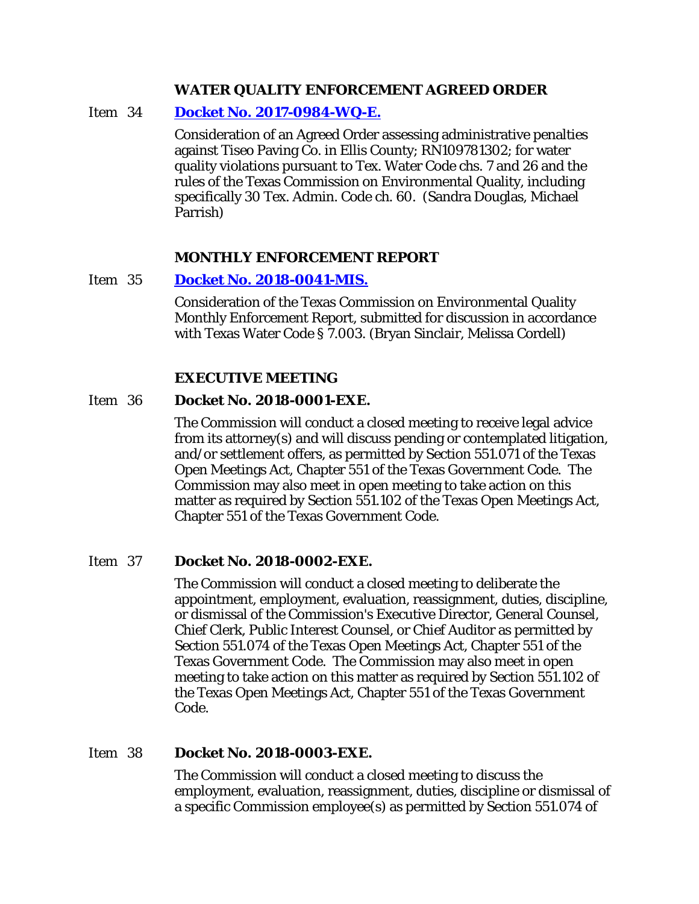#### **WATER QUALITY ENFORCEMENT AGREED ORDER**

#### Item 34 **[Docket No. 2017-0984-WQ-E.](http://www.tceq.texas.gov/assets/public/comm_exec/agendas/comm/backup/Agendas/2018/02-21-2018/0984WQ.pdf)**

Consideration of an Agreed Order assessing administrative penalties against Tiseo Paving Co. in Ellis County; RN109781302; for water quality violations pursuant to Tex. Water Code chs. 7 and 26 and the rules of the Texas Commission on Environmental Quality, including specifically 30 Tex. Admin. Code ch. 60. (Sandra Douglas, Michael Parrish)

#### **MONTHLY ENFORCEMENT REPORT**

#### Item 35 **[Docket No. 2018-0041-MIS.](http://www.tceq.texas.gov/assets/public/comm_exec/agendas/comm/backup/Agendas/2018/02-21-2018/0041MIS.pdf)**

Consideration of the Texas Commission on Environmental Quality Monthly Enforcement Report, submitted for discussion in accordance with Texas Water Code § 7.003. (Bryan Sinclair, Melissa Cordell)

#### **EXECUTIVE MEETING**

#### Item 36 **Docket No. 2018-0001-EXE.**

The Commission will conduct a closed meeting to receive legal advice from its attorney(s) and will discuss pending or contemplated litigation, and/or settlement offers, as permitted by Section 551.071 of the Texas Open Meetings Act, Chapter 551 of the Texas Government Code. The Commission may also meet in open meeting to take action on this matter as required by Section 551.102 of the Texas Open Meetings Act, Chapter 551 of the Texas Government Code.

#### Item 37 **Docket No. 2018-0002-EXE.**

The Commission will conduct a closed meeting to deliberate the appointment, employment, evaluation, reassignment, duties, discipline, or dismissal of the Commission's Executive Director, General Counsel, Chief Clerk, Public Interest Counsel, or Chief Auditor as permitted by Section 551.074 of the Texas Open Meetings Act, Chapter 551 of the Texas Government Code. The Commission may also meet in open meeting to take action on this matter as required by Section 551.102 of the Texas Open Meetings Act, Chapter 551 of the Texas Government Code.

## Item 38 **Docket No. 2018-0003-EXE.**

The Commission will conduct a closed meeting to discuss the employment, evaluation, reassignment, duties, discipline or dismissal of a specific Commission employee(s) as permitted by Section 551.074 of